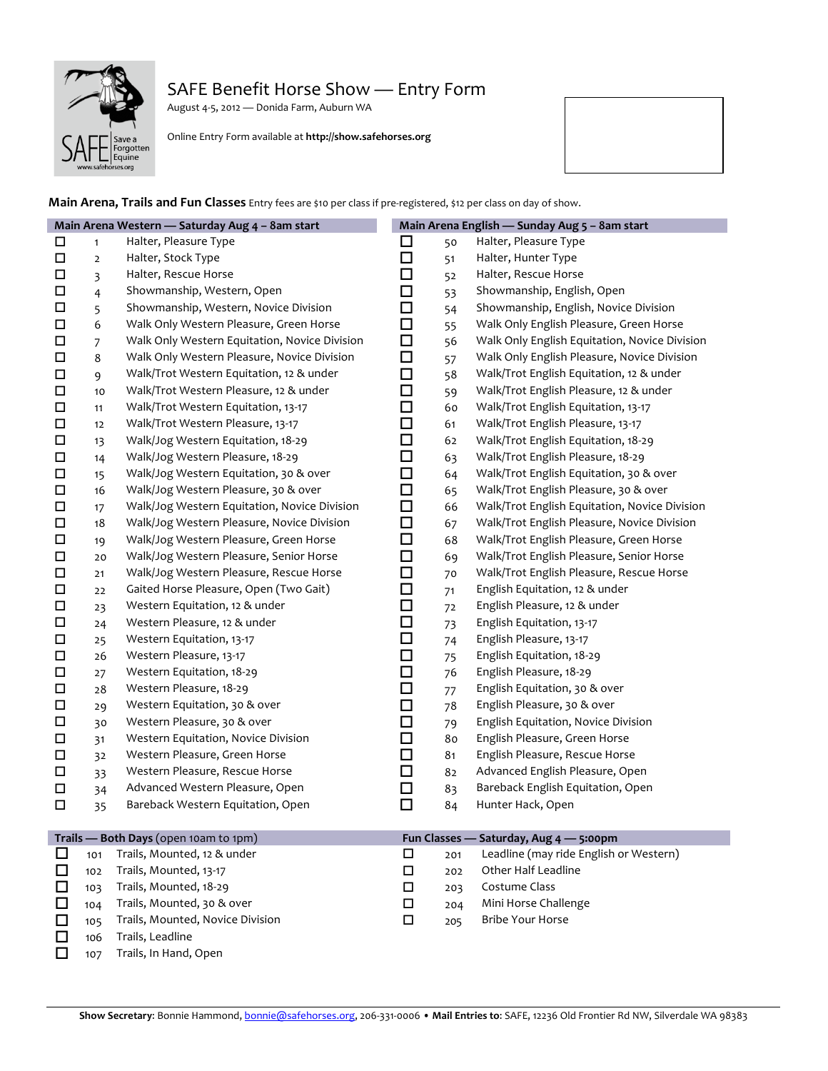

# SAFE Benefit Horse Show - Entry Form

August 4-5, 2012 — Donida Farm, Auburn WA

Online Entry Form available at http://show.safehorses.org



**Main Arena, Trails and Fun Classes** Entry fees are \$10 per class if pre-registered, \$12 per class on day of show.

| Main Arena Western - Saturday Aug 4 - 8am start |                |                                               | Main Arena English - Sunday Aug 5 - 8am start |                |                                               |
|-------------------------------------------------|----------------|-----------------------------------------------|-----------------------------------------------|----------------|-----------------------------------------------|
| □                                               | $\mathbf{1}$   | Halter, Pleasure Type                         | □                                             | 50             | Halter, Pleasure Type                         |
| $\Box$                                          | $\mathbf 2$    | Halter, Stock Type                            | $\Box$                                        | 51             | Halter, Hunter Type                           |
| $\Box$                                          | 3              | Halter, Rescue Horse                          | $\Box$                                        | 52             | Halter, Rescue Horse                          |
| $\Box$                                          | $\overline{4}$ | Showmanship, Western, Open                    | $\Box$                                        | 53             | Showmanship, English, Open                    |
| $\Box$                                          | 5              | Showmanship, Western, Novice Division         | $\Box$                                        | 54             | Showmanship, English, Novice Division         |
| $\Box$                                          | 6              | Walk Only Western Pleasure, Green Horse       | $\Box$                                        | 55             | Walk Only English Pleasure, Green Horse       |
| $\Box$                                          | $\overline{7}$ | Walk Only Western Equitation, Novice Division | $\Box$                                        | 56             | Walk Only English Equitation, Novice Division |
| $\Box$                                          | 8              | Walk Only Western Pleasure, Novice Division   | $\Box$                                        | 57             | Walk Only English Pleasure, Novice Division   |
| $\Box$                                          | 9              | Walk/Trot Western Equitation, 12 & under      | $\Box$                                        | 58             | Walk/Trot English Equitation, 12 & under      |
| $\Box$                                          | 10             | Walk/Trot Western Pleasure, 12 & under        | $\Box$                                        | 59             | Walk/Trot English Pleasure, 12 & under        |
| $\Box$                                          | 11             | Walk/Trot Western Equitation, 13-17           | $\Box$                                        | 60             | Walk/Trot English Equitation, 13-17           |
| $\Box$                                          | 12             | Walk/Trot Western Pleasure, 13-17             | $\Box$                                        | 61             | Walk/Trot English Pleasure, 13-17             |
| $\Box$                                          | 13             | Walk/Jog Western Equitation, 18-29            | □                                             | 62             | Walk/Trot English Equitation, 18-29           |
| $\Box$                                          | 14             | Walk/Jog Western Pleasure, 18-29              | □                                             | 63             | Walk/Trot English Pleasure, 18-29             |
| $\Box$                                          | 15             | Walk/Jog Western Equitation, 30 & over        | $\Box$                                        | 64             | Walk/Trot English Equitation, 30 & over       |
| $\Box$                                          | 16             | Walk/Jog Western Pleasure, 30 & over          | □                                             | 65             | Walk/Trot English Pleasure, 30 & over         |
| $\Box$                                          | 17             | Walk/Jog Western Equitation, Novice Division  | □                                             | 66             | Walk/Trot English Equitation, Novice Division |
| $\Box$                                          | 18             | Walk/Jog Western Pleasure, Novice Division    | $\Box$                                        | 67             | Walk/Trot English Pleasure, Novice Division   |
| $\Box$                                          | 19             | Walk/Jog Western Pleasure, Green Horse        | $\Box$                                        | 68             | Walk/Trot English Pleasure, Green Horse       |
| $\Box$                                          | 20             | Walk/Jog Western Pleasure, Senior Horse       | $\Box$                                        | 69             | Walk/Trot English Pleasure, Senior Horse      |
| $\Box$                                          | 21             | Walk/Jog Western Pleasure, Rescue Horse       | $\Box$                                        | 70             | Walk/Trot English Pleasure, Rescue Horse      |
| $\Box$                                          | 22             | Gaited Horse Pleasure, Open (Two Gait)        | $\Box$                                        | 71             | English Equitation, 12 & under                |
| $\Box$                                          | 23             | Western Equitation, 12 & under                | $\Box$                                        | 72             | English Pleasure, 12 & under                  |
| $\Box$                                          | 24             | Western Pleasure, 12 & under                  | $\Box$                                        | 73             | English Equitation, 13-17                     |
| $\Box$                                          | 25             | Western Equitation, 13-17                     | $\Box$                                        | 74             | English Pleasure, 13-17                       |
| $\Box$                                          | 26             | Western Pleasure, 13-17                       | $\Box$                                        | 75             | English Equitation, 18-29                     |
| $\Box$                                          | 27             | Western Equitation, 18-29                     | $\Box$                                        | 76             | English Pleasure, 18-29                       |
| $\Box$                                          | 28             | Western Pleasure, 18-29                       | $\Box$                                        | 77             | English Equitation, 30 & over                 |
| $\Box$                                          | 29             | Western Equitation, 30 & over                 | $\Box$                                        | 78             | English Pleasure, 30 & over                   |
| $\Box$                                          | 30             | Western Pleasure, 30 & over                   | $\Box$                                        | 79             | English Equitation, Novice Division           |
| $\Box$                                          | 31             | Western Equitation, Novice Division           | $\Box$                                        | 80             | English Pleasure, Green Horse                 |
| $\Box$                                          | 32             | Western Pleasure, Green Horse                 | $\Box$                                        | 8 <sub>1</sub> | English Pleasure, Rescue Horse                |
| □                                               | 33             | Western Pleasure, Rescue Horse                | $\Box$                                        | 82             | Advanced English Pleasure, Open               |
| $\Box$                                          | 34             | Advanced Western Pleasure, Open               | $\Box$                                        | 83             | Bareback English Equitation, Open             |
| $\Box$                                          | 35             | Bareback Western Equitation, Open             | $\Box$                                        | 84             | Hunter Hack, Open                             |
|                                                 |                |                                               |                                               |                |                                               |
|                                                 |                | Trails - Both Days (open 10am to 1pm)         |                                               |                | Fun Classes - Saturday, Aug 4 - 5:00pm        |
| H                                               |                | 101 Trails, Mounted, 12 & under               | п                                             | 201            | Leadline (may ride English or Western)        |

| 101 | Trails, Mounted, 12 & under      | 201 | Leadline (may ride English or Western) |
|-----|----------------------------------|-----|----------------------------------------|
| 102 | Trails, Mounted, 13-17           | 202 | Other Half Leadline                    |
| 103 | Trails, Mounted, 18-29           | 203 | Costume Class                          |
| 104 | Trails, Mounted, 30 & over       | 204 | Mini Horse Challenge                   |
| 105 | Trails, Mounted, Novice Division | 205 | Bribe Your Horse                       |
| 106 | Trails, Leadline                 |     |                                        |

107 Trails, In Hand, Open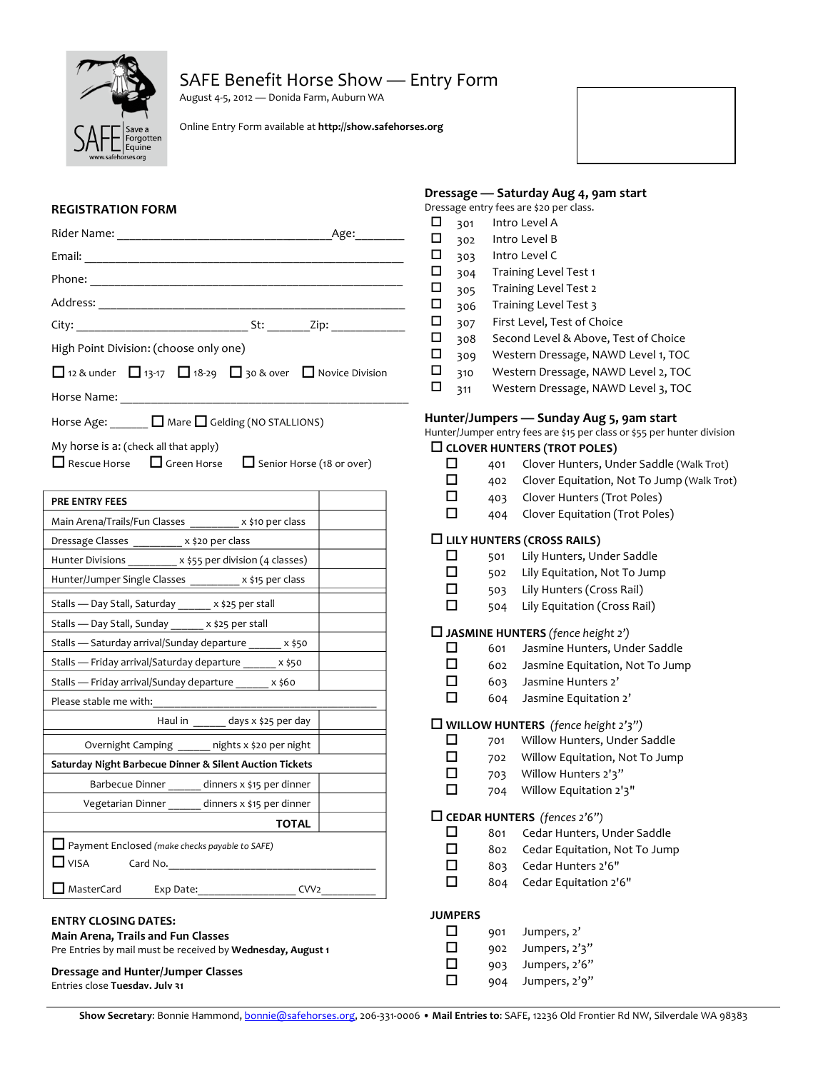

## SAFE Benefit Horse Show - Entry Form

August 4-5, 2012 — Donida Farm, Auburn WA

Online Entry Form available at http://show.safehorses.org



|                                                          |                                                             | Age:________ |  |
|----------------------------------------------------------|-------------------------------------------------------------|--------------|--|
|                                                          |                                                             |              |  |
|                                                          |                                                             |              |  |
|                                                          |                                                             |              |  |
|                                                          |                                                             |              |  |
|                                                          | High Point Division: (choose only one)                      |              |  |
|                                                          | □ 12 & under □ 13-17 □ 18-29 □ 30 & over □ Novice Division  |              |  |
|                                                          |                                                             |              |  |
|                                                          |                                                             |              |  |
|                                                          | Horse Age: _______ _ Mare _ Gelding (NO STALLIONS)          |              |  |
| My horse is a: (check all that apply)                    | ■ Rescue Horse ■ Green Horse ■ Senior Horse (18 or over)    |              |  |
| PRE ENTRY FEES                                           |                                                             |              |  |
|                                                          | Main Arena/Trails/Fun Classes _________ x \$10 per class    |              |  |
|                                                          | Dressage Classes _________ x \$20 per class                 |              |  |
|                                                          | Hunter Divisions __________ x \$55 per division (4 classes) |              |  |
| Hunter/Jumper Single Classes __________ x \$15 per class |                                                             |              |  |
| Stalls - Day Stall, Saturday ______ x \$25 per stall     |                                                             |              |  |
| Stalls - Day Stall, Sunday ______ x \$25 per stall       |                                                             |              |  |
| Stalls - Saturday arrival/Sunday departure ______ x \$50 |                                                             |              |  |
|                                                          | Stalls - Friday arrival/Saturday departure _____ x \$50     |              |  |
|                                                          | Stalls - Friday arrival/Sunday departure ______ x \$60      |              |  |
| Please stable me with:                                   |                                                             |              |  |
|                                                          | Haul in _______ days x \$25 per day                         |              |  |
|                                                          | Overnight Camping ______ nights x \$20 per night            |              |  |
|                                                          | Saturday Night Barbecue Dinner & Silent Auction Tickets     |              |  |
|                                                          |                                                             |              |  |
|                                                          | Barbecue Dinner ______ dinners x \$15 per dinner            |              |  |
|                                                          | Vegetarian Dinner ______ dinners x \$15 per dinner          |              |  |
|                                                          | <b>TOTAL</b>                                                |              |  |
|                                                          | Payment Enclosed (make checks payable to SAFE)              |              |  |
| VISA                                                     | Card No.                                                    |              |  |

Pre Entries by mail must be received by Wednesday, August 1

**Dressage and Hunter/Jumper Classes**

Entries close **Tuesday, July 31**



### **Dressage — Saturday Aug 4, 9am start**

Dressage entry fees are \$20 per class.

- $\Box$  301 Intro Level A  $\Box$  302 Intro Level B
- $\Box$  303 Intro Level C
- $\Box$  304 Training Level Test 1
- $\Box$  305 Training Level Test 2
- $\Box$  306 Training Level Test 3
- $\Box$  307 First Level, Test of Choice
- $\Box$  308 Second Level & Above, Test of Choice
- □ 309 Western Dressage, NAWD Level 1, TOC
- □ 310 Western Dressage, NAWD Level 2, TOC
- $\Box$  311 Western Dressage, NAWD Level 3, TOC

#### **Hunter/Jumpers — Sunday Aug 5, 9am start**

Hunter/Jumper entry fees are \$15 per class or \$55 per hunter division **CLOVER HUNTERS (TROT POLES)**

- $\Box$  401 Clover Hunters, Under Saddle (Walk Trot)
- $\Box$  402 Clover Equitation, Not To Jump (Walk Trot)
- $\Box$  403 Clover Hunters (Trot Poles)
- $\Box$  404 Clover Equitation (Trot Poles)

### **LILY HUNTERS (CROSS RAILS)**

- $\Box$  501 Lily Hunters, Under Saddle
- $\Box$  502 Lily Equitation, Not To Jump
- $\Box$  503 Lily Hunters (Cross Rail)
- $\Box$  504 Lily Equitation (Cross Rail)

#### **JASMINE HUNTERS** *(fence height 2')*

- $\Box$  601 Jasmine Hunters, Under Saddle
- **12** 602 Jasmine Equitation, Not To Jump
- E 603 Jasmine Hunters 2'
- $\Box$  604 Jasmine Equitation 2'

#### **WILLOW HUNTERS** *(fence height 2'3")*

- 701 Willow Hunters, Under Saddle
- $\Box$  702 Willow Equitation, Not To Jump
- $\Box$  703 Willow Hunters 2'3"
- $\Box$  704 Willow Equitation 2'3"

#### **CEDAR HUNTERS** *(fences 2'6")*

- 801 Cedar Hunters, Under Saddle
- $\Box$  802 Cedar Equitation, Not To Jump
- 803 Cedar Hunters 2'6"
- $\Box$  804 Cedar Equitation 2'6"

#### **JUMPERS**

- $\Box$  901 Jumpers, 2'  $\Box$  902 Jumpers, 2'3"  $\Box$  903 Jumpers, 2'6"
- 
- $\Box$  904 Jumpers, 2'9"